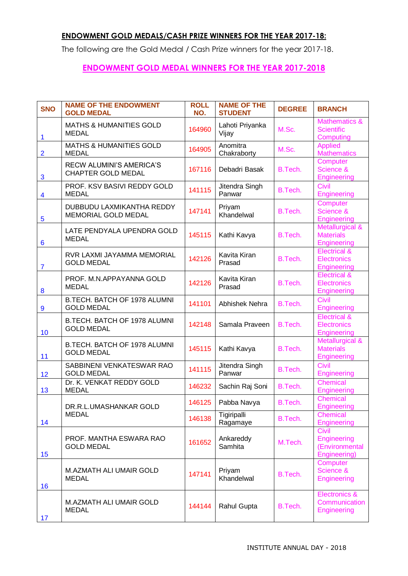## **ENDOWMENT GOLD MEDALS/CASH PRIZE WINNERS FOR THE YEAR 2017-18:**

The following are the Gold Medal / Cash Prize winners for the year 2017-18.

## **ENDOWMENT GOLD MEDAL WINNERS FOR THE YEAR 2017-2018**

| <b>SNO</b>              | <b>NAME OF THE ENDOWMENT</b><br><b>GOLD MEDAL</b>            | <b>ROLL</b><br>NO. | <b>NAME OF THE</b><br><b>STUDENT</b> | <b>DEGREE</b> | <b>BRANCH</b>                                                       |
|-------------------------|--------------------------------------------------------------|--------------------|--------------------------------------|---------------|---------------------------------------------------------------------|
| 1                       | <b>MATHS &amp; HUMANITIES GOLD</b><br><b>MEDAL</b>           | 164960             | Lahoti Priyanka<br>Vijay             | M.Sc.         | <b>Mathematics &amp;</b><br><b>Scientific</b><br>Computing          |
| $\overline{2}$          | <b>MATHS &amp; HUMANITIES GOLD</b><br><b>MEDAL</b>           | 164905             | Anomitra<br>Chakraborty              | M.Sc.         | <b>Applied</b><br><b>Mathematics</b>                                |
| 3                       | <b>RECW ALUMINI'S AMERICA'S</b><br><b>CHAPTER GOLD MEDAL</b> | 167116             | Debadri Basak                        | B.Tech.       | Computer<br>Science &<br><b>Engineering</b>                         |
| $\overline{\mathbf{4}}$ | PROF. KSV BASIVI REDDY GOLD<br><b>MEDAL</b>                  | 141115             | Jitendra Singh<br>Panwar             | B.Tech.       | Civil<br>Engineering                                                |
| 5                       | DUBBUDU LAXMIKANTHA REDDY<br><b>MEMORIAL GOLD MEDAL</b>      | 147141             | Priyam<br>Khandelwal                 | B.Tech.       | Computer<br>Science &<br>Engineering                                |
| $6\phantom{1}6$         | LATE PENDYALA UPENDRA GOLD<br><b>MEDAL</b>                   | 145115             | Kathi Kavya                          | B.Tech.       | Metallurgical &<br><b>Materials</b><br>Engineering                  |
| $\overline{7}$          | RVR LAXMI JAYAMMA MEMORIAL<br><b>GOLD MEDAL</b>              | 142126             | Kavita Kiran<br>Prasad               | B.Tech.       | <b>Electrical &amp;</b><br><b>Electronics</b><br><b>Engineering</b> |
| 8                       | PROF. M.N.APPAYANNA GOLD<br><b>MEDAL</b>                     | 142126             | Kavita Kiran<br>Prasad               | B.Tech.       | <b>Electrical &amp;</b><br><b>Electronics</b><br><b>Engineering</b> |
| 9                       | B.TECH. BATCH OF 1978 ALUMNI<br><b>GOLD MEDAL</b>            | 141101             | Abhishek Nehra                       | B.Tech.       | Civil<br>Engineering                                                |
| 10                      | B.TECH. BATCH OF 1978 ALUMNI<br><b>GOLD MEDAL</b>            | 142148             | Samala Praveen                       | B.Tech.       | <b>Electrical &amp;</b><br><b>Electronics</b><br><b>Engineering</b> |
| 11                      | B.TECH. BATCH OF 1978 ALUMNI<br><b>GOLD MEDAL</b>            | 145115             | Kathi Kavya                          | B.Tech.       | Metallurgical &<br><b>Materials</b><br>Engineering                  |
| 12                      | SABBINENI VENKATESWAR RAO<br><b>GOLD MEDAL</b>               | 141115             | Jitendra Singh<br>Panwar             | B.Tech.       | Civil<br>Engineering                                                |
| 13                      | Dr. K. VENKAT REDDY GOLD<br><b>MEDAL</b>                     | 146232             | Sachin Raj Soni                      | B.Tech.       | Chemical<br>Engineering                                             |
|                         | DR.R.L.UMASHANKAR GOLD                                       | 146125             | Pabba Navya                          | B.Tech.       | <b>Chemical</b><br>Engineering                                      |
| 14                      | <b>MEDAL</b>                                                 | 146138             | Tigiripalli<br>Ragamaye              | B.Tech.       | Chemical<br><b>Engineering</b>                                      |
| 15                      | PROF. MANTHA ESWARA RAO<br><b>GOLD MEDAL</b>                 | 161652             | Ankareddy<br>Samhita                 | M.Tech.       | Civil<br><b>Engineering</b><br>(Environmental<br>Engineering)       |
| 16                      | M.AZMATH ALI UMAIR GOLD<br><b>MEDAL</b>                      | 147141             | Priyam<br>Khandelwal                 | B.Tech.       | Computer<br>Science &<br>Engineering                                |
| 17                      | M.AZMATH ALI UMAIR GOLD<br><b>MEDAL</b>                      | 144144             | Rahul Gupta                          | B.Tech.       | <b>Electronics &amp;</b><br>Communication<br>Engineering            |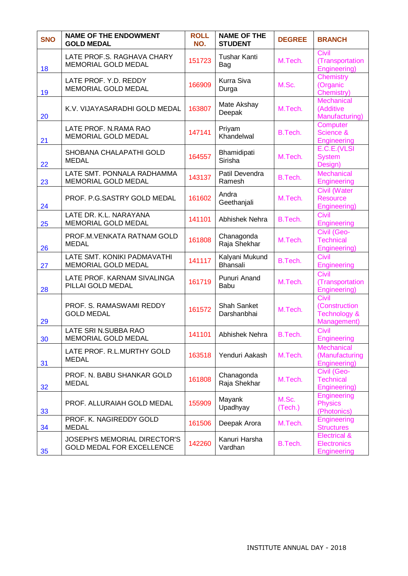| <b>SNO</b> | <b>NAME OF THE ENDOWMENT</b><br><b>GOLD MEDAL</b>                       | <b>ROLL</b><br>NO. | <b>NAME OF THE</b><br><b>STUDENT</b> | <b>DEGREE</b>    | <b>BRANCH</b>                                                    |
|------------|-------------------------------------------------------------------------|--------------------|--------------------------------------|------------------|------------------------------------------------------------------|
| 18         | LATE PROF.S. RAGHAVA CHARY<br><b>MEMORIAL GOLD MEDAL</b>                | 151723             | <b>Tushar Kanti</b><br>Bag           | M.Tech.          | Civil<br>(Transportation<br>Engineering)                         |
| 19         | LATE PROF. Y.D. REDDY<br>MEMORIAL GOLD MEDAL                            | 166909             | Kurra Siva<br>Durga                  | M.Sc.            | Chemistry<br>(Organic<br>Chemistry)                              |
| 20         | K.V. VIJAYASARADHI GOLD MEDAL                                           | 163807             | Mate Akshay<br>Deepak                | M.Tech.          | <b>Mechanical</b><br>(Additive<br>Manufacturing)                 |
| 21         | LATE PROF. N.RAMA RAO<br>MEMORIAL GOLD MEDAL                            | 147141             | Priyam<br>Khandelwal                 | B.Tech.          | Computer<br>Science &<br><b>Engineering</b>                      |
| 22         | SHOBANA CHALAPATHI GOLD<br><b>MEDAL</b>                                 | 164557             | Bhamidipati<br>Sirisha               | M.Tech.          | E.C.E.(VLSI<br><b>System</b><br>Design)                          |
| 23         | LATE SMT. PONNALA RADHAMMA<br><b>MEMORIAL GOLD MEDAL</b>                | 143137             | Patil Devendra<br>Ramesh             | B.Tech.          | <b>Mechanical</b><br>Engineering                                 |
| 24         | PROF. P.G.SASTRY GOLD MEDAL                                             | 161602             | Andra<br>Geethanjali                 | M.Tech.          | Civil (Water<br><b>Resource</b><br>Engineering)                  |
| 25         | LATE DR. K.L. NARAYANA<br><b>MEMORIAL GOLD MEDAL</b>                    | 141101             | Abhishek Nehra                       | B.Tech.          | <b>Civil</b><br><b>Engineering</b>                               |
| 26         | PROF.M.VENKATA RATNAM GOLD<br><b>MEDAL</b>                              | 161808             | Chanagonda<br>Raja Shekhar           | M.Tech.          | Civil (Geo-<br><b>Technical</b><br>Engineering)                  |
| 27         | LATE SMT. KONIKI PADMAVATHI<br>MEMORIAL GOLD MEDAL                      | 141117             | Kalyani Mukund<br><b>Bhansali</b>    | B.Tech.          | Civil<br>Engineering                                             |
| 28         | LATE PROF. KARNAM SIVALINGA<br>PILLAI GOLD MEDAL                        | 161719             | Punuri Anand<br><b>Babu</b>          | M.Tech.          | Civil<br>(Transportation<br>Engineering)                         |
| 29         | PROF. S. RAMASWAMI REDDY<br><b>GOLD MEDAL</b>                           | 161572             | <b>Shah Sanket</b><br>Darshanbhai    | M.Tech.          | Civil<br>(Construction<br><b>Technology &amp;</b><br>Management) |
| 30         | LATE SRI N.SUBBA RAO<br><b>MEMORIAL GOLD MEDAL</b>                      | 141101             | Abhishek Nehra                       | B.Tech.          | <b>Civil</b><br>Engineering                                      |
| 31         | LATE PROF. R.L.MURTHY GOLD<br><b>MEDAL</b>                              | 163518             | Yenduri Aakash                       | M.Tech.          | <b>Mechanical</b><br>(Manufacturing<br>Engineering)              |
| 32         | PROF. N. BABU SHANKAR GOLD<br><b>MEDAL</b>                              | 161808             | Chanagonda<br>Raja Shekhar           | M.Tech.          | Civil (Geo-<br><b>Technical</b><br>Engineering)                  |
| 33         | PROF. ALLURAIAH GOLD MEDAL                                              | 155909             | Mayank<br>Upadhyay                   | M.Sc.<br>(Tech.) | <b>Engineering</b><br><b>Physics</b><br>(Photonics)              |
| 34         | PROF. K. NAGIREDDY GOLD<br><b>MEDAL</b>                                 | 161506             | Deepak Arora                         | M.Tech.          | <b>Engineering</b><br><b>Structures</b>                          |
| 35         | <b>JOSEPH'S MEMORIAL DIRECTOR'S</b><br><b>GOLD MEDAL FOR EXCELLENCE</b> | 142260             | Kanuri Harsha<br>Vardhan             | B.Tech.          | <b>Electrical &amp;</b><br><b>Electronics</b><br>Engineering     |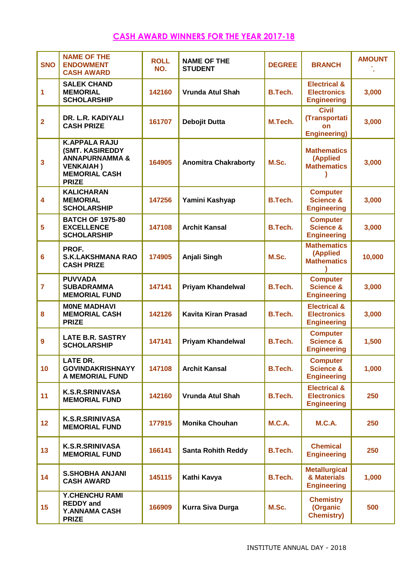# **CASH AWARD WINNERS FOR THE YEAR 2017-18**

| <b>SNO</b>              | <b>NAME OF THE</b><br><b>ENDOWMENT</b><br><b>CASH AWARD</b>                                                                             | <b>ROLL</b><br>NO. | <b>NAME OF THE</b><br><b>STUDENT</b> | <b>DEGREE</b>  | <b>BRANCH</b>                                                       | <b>AMOUNT</b> |
|-------------------------|-----------------------------------------------------------------------------------------------------------------------------------------|--------------------|--------------------------------------|----------------|---------------------------------------------------------------------|---------------|
| 1                       | <b>SALEK CHAND</b><br><b>MEMORIAL</b><br><b>SCHOLARSHIP</b>                                                                             | 142160             | <b>Vrunda Atul Shah</b>              | <b>B.Tech.</b> | <b>Electrical &amp;</b><br><b>Electronics</b><br><b>Engineering</b> | 3,000         |
| $\overline{2}$          | DR. L.R. KADIYALI<br><b>CASH PRIZE</b>                                                                                                  | 161707             | Debojit Dutta                        | M.Tech.        | <b>Civil</b><br>(Transportati<br>on<br><b>Engineering)</b>          | 3,000         |
| $\overline{\mathbf{3}}$ | <b>K.APPALA RAJU</b><br><b>(SMT. KASIREDDY</b><br><b>ANNAPURNAMMA &amp;</b><br><b>VENKAIAH)</b><br><b>MEMORIAL CASH</b><br><b>PRIZE</b> | 164905             | <b>Anomitra Chakraborty</b>          | M.Sc.          | <b>Mathematics</b><br>(Applied<br><b>Mathematics</b>                | 3,000         |
| 4                       | <b>KALICHARAN</b><br><b>MEMORIAL</b><br><b>SCHOLARSHIP</b>                                                                              | 147256             | Yamini Kashyap                       | <b>B.Tech.</b> | <b>Computer</b><br><b>Science &amp;</b><br><b>Engineering</b>       | 3,000         |
| 5                       | <b>BATCH OF 1975-80</b><br><b>EXCELLENCE</b><br><b>SCHOLARSHIP</b>                                                                      | 147108             | <b>Archit Kansal</b>                 | <b>B.Tech.</b> | <b>Computer</b><br><b>Science &amp;</b><br><b>Engineering</b>       | 3,000         |
| $6\phantom{a}$          | PROF.<br><b>S.K.LAKSHMANA RAO</b><br><b>CASH PRIZE</b>                                                                                  | 174905             | Anjali Singh                         | M.Sc.          | <b>Mathematics</b><br>(Applied<br><b>Mathematics</b>                | 10,000        |
| $\overline{7}$          | <b>PUVVADA</b><br><b>SUBADRAMMA</b><br><b>MEMORIAL FUND</b>                                                                             | 147141             | <b>Priyam Khandelwal</b>             | <b>B.Tech.</b> | <b>Computer</b><br><b>Science &amp;</b><br><b>Engineering</b>       | 3,000         |
| 8                       | <b>MONE MADHAVI</b><br><b>MEMORIAL CASH</b><br><b>PRIZE</b>                                                                             | 142126             | <b>Kavita Kiran Prasad</b>           | <b>B.Tech.</b> | <b>Electrical &amp;</b><br><b>Electronics</b><br><b>Engineering</b> | 3,000         |
| $\boldsymbol{9}$        | <b>LATE B.R. SASTRY</b><br><b>SCHOLARSHIP</b>                                                                                           | 147141             | <b>Priyam Khandelwal</b>             | <b>B.Tech.</b> | <b>Computer</b><br><b>Science &amp;</b><br><b>Engineering</b>       | 1,500         |
| 10                      | <b>LATE DR.</b><br><b>GOVINDAKRISHNAYY</b><br><b>A MEMORIAL FUND</b>                                                                    | 147108             | <b>Archit Kansal</b>                 | B.Tech.        | <b>Computer</b><br><b>Science &amp;</b><br><b>Engineering</b>       | 1,000         |
| 11                      | <b>K.S.R.SRINIVASA</b><br><b>MEMORIAL FUND</b>                                                                                          | 142160             | <b>Vrunda Atul Shah</b>              | B.Tech.        | <b>Electrical &amp;</b><br><b>Electronics</b><br><b>Engineering</b> | 250           |
| 12 <sub>2</sub>         | <b>K.S.R.SRINIVASA</b><br><b>MEMORIAL FUND</b>                                                                                          | 177915             | <b>Monika Chouhan</b>                | <b>M.C.A.</b>  | <b>M.C.A.</b>                                                       | 250           |
| 13                      | <b>K.S.R.SRINIVASA</b><br><b>MEMORIAL FUND</b>                                                                                          | 166141             | <b>Santa Rohith Reddy</b>            | <b>B.Tech.</b> | <b>Chemical</b><br><b>Engineering</b>                               | 250           |
| 14                      | <b>S.SHOBHA ANJANI</b><br><b>CASH AWARD</b>                                                                                             | 145115             | Kathi Kavya                          | <b>B.Tech.</b> | <b>Metallurgical</b><br>& Materials<br><b>Engineering</b>           | 1,000         |
| 15                      | <b>Y.CHENCHU RAMI</b><br><b>REDDY</b> and<br><b>Y.ANNAMA CASH</b><br><b>PRIZE</b>                                                       | 166909             | <b>Kurra Siva Durga</b>              | M.Sc.          | <b>Chemistry</b><br>(Organic<br><b>Chemistry)</b>                   | 500           |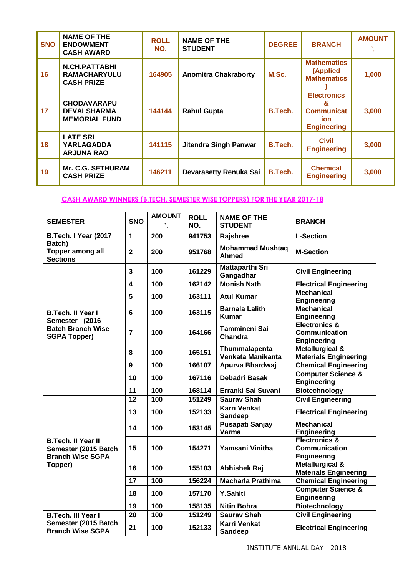| <b>SNO</b> | <b>NAME OF THE</b><br><b>ENDOWMENT</b><br><b>CASH AWARD</b>      | <b>ROLL</b><br>NO. | <b>NAME OF THE</b><br><b>STUDENT</b> | <b>DEGREE</b>  | <b>BRANCH</b>                                                                    | <b>AMOUNT</b> |
|------------|------------------------------------------------------------------|--------------------|--------------------------------------|----------------|----------------------------------------------------------------------------------|---------------|
| 16         | <b>N.CH.PATTABHI</b><br><b>RAMACHARYULU</b><br><b>CASH PRIZE</b> | 164905             | <b>Anomitra Chakraborty</b>          | M.Sc.          | <b>Mathematics</b><br>(Applied<br><b>Mathematics</b>                             | 1,000         |
| 17         | <b>CHODAVARAPU</b><br><b>DEVALSHARMA</b><br><b>MEMORIAL FUND</b> | 144144             | <b>Rahul Gupta</b>                   | B.Tech.        | <b>Electronics</b><br>&<br><b>Communicat</b><br><b>ion</b><br><b>Engineering</b> | 3,000         |
| 18         | <b>LATE SRI</b><br><b>YARLAGADDA</b><br><b>ARJUNA RAO</b>        | 141115             | Jitendra Singh Panwar                | <b>B.Tech.</b> | <b>Civil</b><br><b>Engineering</b>                                               | 3,000         |
| 19         | <b>Mr. C.G. SETHURAM</b><br><b>CASH PRIZE</b>                    | 146211             | Devarasetty Renuka Sai               | B.Tech.        | <b>Chemical</b><br><b>Engineering</b>                                            | 3,000         |

### **CASH AWARD WINNERS (B.TECH. SEMESTER WISE TOPPERS) FOR THE YEAR 2017-18**

| <b>SEMESTER</b>                                                              | <b>SNO</b>              | <b>AMOUNT</b> | <b>ROLL</b><br>NO. | <b>NAME OF THE</b><br><b>STUDENT</b>    | <b>BRANCH</b>                                                          |
|------------------------------------------------------------------------------|-------------------------|---------------|--------------------|-----------------------------------------|------------------------------------------------------------------------|
| B.Tech. I Year (2017                                                         | 1                       | 200           | 941753             | Rajshree                                | <b>L-Section</b>                                                       |
| Batch)<br>Topper among all<br><b>Sections</b>                                | $\overline{2}$          | 200           | 951768             | <b>Mohammad Mushtag</b><br><b>Ahmed</b> | <b>M-Section</b>                                                       |
|                                                                              | $\overline{\mathbf{3}}$ | 100           | 161229             | Mattaparthi Sri<br>Gangadhar            | <b>Civil Engineering</b>                                               |
|                                                                              | $\overline{\mathbf{4}}$ | 100           | 162142             | <b>Monish Nath</b>                      | <b>Electrical Engineering</b>                                          |
|                                                                              | 5                       | 100           | 163111             | <b>Atul Kumar</b>                       | <b>Mechanical</b><br><b>Engineering</b>                                |
| <b>B.Tech. II Year I</b><br>Semester (2016                                   | 6                       | 100           | 163115             | <b>Barnala Lalith</b><br><b>Kumar</b>   | <b>Mechanical</b><br><b>Engineering</b>                                |
| <b>Batch Branch Wise</b><br><b>SGPA Topper)</b>                              | $\overline{7}$          | 100           | 164166             | <b>Tammineni Sai</b><br>Chandra         | <b>Electronics &amp;</b><br><b>Communication</b><br><b>Engineering</b> |
|                                                                              | 8                       | 100           | 165151             | Thummalapenta<br>Venkata Manikanta      | <b>Metallurgical &amp;</b><br><b>Materials Engineering</b>             |
|                                                                              | 9                       | 100           | 166107             | Apurva Bhardwaj                         | <b>Chemical Engineering</b>                                            |
|                                                                              | 10                      | 100           | 167116             | Debadri Basak                           | <b>Computer Science &amp;</b><br>Engineering                           |
|                                                                              | 11                      | 100           | 168114             | Erranki Sai Suvani                      | Biotechnology                                                          |
|                                                                              | 12                      | 100           | 151249             | <b>Saurav Shah</b>                      | <b>Civil Engineering</b>                                               |
|                                                                              | 13                      | 100           | 152133             | <b>Karri Venkat</b><br><b>Sandeep</b>   | <b>Electrical Engineering</b>                                          |
|                                                                              | 14                      | 100           | 153145             | Pusapati Sanjay<br>Varma                | <b>Mechanical</b><br><b>Engineering</b>                                |
| <b>B.Tech. II Year II</b><br>Semester (2015 Batch<br><b>Branch Wise SGPA</b> | 15                      | 100           | 154271             | Yamsani Vinitha                         | <b>Electronics &amp;</b><br><b>Communication</b><br><b>Engineering</b> |
| Topper)                                                                      | 16                      | 100           | 155103             | <b>Abhishek Raj</b>                     | Metallurgical &<br><b>Materials Engineering</b>                        |
|                                                                              | 17                      | 100           | 156224             | <b>Macharla Prathima</b>                | <b>Chemical Engineering</b>                                            |
|                                                                              | 18                      | 100           | 157170             | <b>Y.Sahiti</b>                         | <b>Computer Science &amp;</b><br><b>Engineering</b>                    |
|                                                                              | 19                      | 100           | 158135             | <b>Nitin Bohra</b>                      | <b>Biotechnology</b>                                                   |
| <b>B.Tech. III Year I</b>                                                    | 20                      | 100           | 151249             | <b>Saurav Shah</b>                      | <b>Civil Engineering</b>                                               |
| Semester (2015 Batch<br><b>Branch Wise SGPA</b>                              | 21                      | 100           | 152133             | <b>Karri Venkat</b><br>Sandeep          | <b>Electrical Engineering</b>                                          |